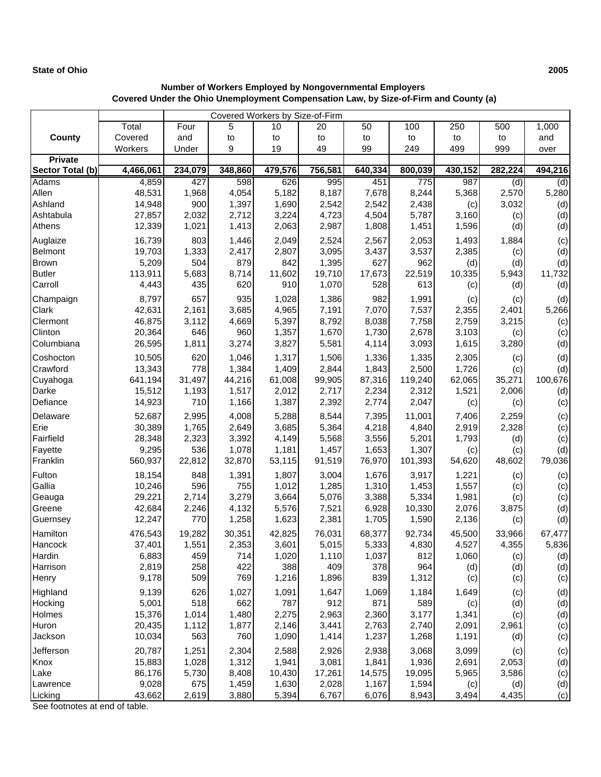## **State of Ohio 2005**

## **Number of Workers Employed by Nongovernmental Employers Covered Under the Ohio Unemployment Compensation Law, by Size-of-Firm and County (a)**

| Covered Workers by Size-of-Firm |                  |              |              |                |                |                |                |                |         |         |
|---------------------------------|------------------|--------------|--------------|----------------|----------------|----------------|----------------|----------------|---------|---------|
|                                 | Total            | Four         | 5            | 10             | 20             | 50             | 100            | 250            | 500     | 1,000   |
| County                          | Covered          | and          | to           | to             | to             | to             | to             | to             | to      | and     |
|                                 | Workers          | Under        | 9            | 19             | 49             | 99             | 249            | 499            | 999     | over    |
| <b>Private</b>                  |                  |              |              |                |                |                |                |                |         |         |
| Sector Total (b)                | 4,466,061        | 234,079      | 348,860      | 479,576        | 756,581        | 640,334        | 800,039        | 430,152        | 282,224 | 494,216 |
| Adams                           | 4,859            | 427          | 598          | 626            | 995            | 451            | 775            | 987            | (d)     | (d)     |
| Allen                           | 48,531           | 1,968        | 4,054        | 5,182          | 8,187          | 7,678          | 8,244          | 5,368          | 2,570   | 5,280   |
| Ashland                         | 14,948           | 900          | 1,397        | 1,690          | 2,542          | 2,542          | 2,438          | (c)            | 3,032   | (d)     |
| Ashtabula                       | 27,857           | 2,032        | 2,712        | 3,224          | 4,723          | 4,504          | 5,787          | 3,160          | (c)     | (d)     |
| Athens                          | 12,339           | 1,021        | 1,413        | 2,063          | 2,987          | 1,808          | 1,451          | 1,596          | (d)     | (d)     |
| Auglaize                        | 16,739           | 803          | 1,446        | 2,049          | 2,524          | 2,567          | 2,053          | 1,493          | 1,884   | (c)     |
| Belmont                         | 19,703           | 1,333        | 2,417        | 2,807          | 3,095          | 3,437          | 3,537          | 2,385          | (c)     | (d)     |
| <b>Brown</b>                    | 5,209            | 504          | 879          | 842            | 1,395          | 627            | 962            | (d)            | (d)     | (d)     |
| <b>Butler</b>                   | 113,911          | 5,683        | 8,714        | 11,602         | 19,710         | 17,673         | 22,519         | 10,335         | 5,943   | 11,732  |
| Carroll                         | 4,443            | 435          | 620          | 910            | 1,070          | 528            | 613            | (c)            | (d)     | (d)     |
| Champaign                       | 8,797            | 657          | 935          | 1,028          | 1,386          | 982            | 1,991          | (c)            | (c)     | (d)     |
| Clark                           | 42,631           | 2,161        | 3,685        | 4,965          | 7,191          | 7,070          | 7,537          | 2,355          | 2,401   | 5,266   |
| Clermont                        | 46,875           | 3,112        | 4,669        | 5,397          | 8,792          | 8,038          | 7,758          | 2,759          | 3,215   | (c)     |
| Clinton                         | 20,364           | 646          | 960          | 1,357          | 1,670          | 1,730          | 2,678          | 3,103          | (c)     | (c)     |
| Columbiana                      | 26,595           | 1,811        | 3,274        | 3,827          | 5,581          | 4,114          | 3,093          | 1,615          | 3,280   | (d)     |
| Coshocton                       | 10,505           | 620          | 1,046        | 1,317          | 1,506          | 1,336          | 1,335          | 2,305          | (c)     | (d)     |
| Crawford                        | 13,343           | 778          | 1,384        | 1,409          | 2,844          | 1,843          | 2,500          | 1,726          | (c)     | (d)     |
| Cuyahoga                        | 641,194          | 31,497       | 44,216       | 61,008         | 99,905         | 87,316         | 119,240        | 62,065         | 35,271  | 100,676 |
| Darke                           | 15,512           | 1,193        | 1,517        | 2,012          | 2,717          | 2,234          | 2,312          | 1,521          | 2,006   | (d)     |
| Defiance                        | 14,923           | 710          | 1,166        | 1,387          | 2,392          | 2,774          | 2,047          | (c)            | (c)     | (c)     |
| Delaware                        | 52,687           | 2,995        | 4,008        | 5,288          | 8,544          | 7,395          | 11,001         | 7,406          | 2,259   | (c)     |
| Erie                            | 30,389           | 1,765        | 2,649        | 3,685          | 5,364          | 4,218          | 4,840          | 2,919          | 2,328   | (c)     |
| Fairfield                       | 28,348           | 2,323        | 3,392        | 4,149          | 5,568          | 3,556          | 5,201          | 1,793          | (d)     | (c)     |
| Fayette                         | 9,295            | 536          | 1,078        | 1,181          | 1,457          | 1,653          | 1,307          | (c)            | (c)     | (d)     |
| Franklin                        | 560,937          | 22,812       | 32,870       | 53,115         | 91,519         | 76,970         | 101,393        | 54,620         | 48,602  | 79,036  |
| Fulton                          | 18,154           | 848          | 1,391        | 1,807          | 3,004          | 1,676          | 3,917          | 1,221          | (c)     | (c)     |
| Gallia                          | 10,246           | 596          | 755          | 1,012          | 1,285          | 1,310          | 1,453          | 1,557          | (c)     | (c)     |
| Geauga                          | 29,221           | 2,714        | 3,279        | 3,664          | 5,076          | 3,388          | 5,334          | 1,981          | (c)     | (c)     |
| Greene                          | 42,684           | 2,246        | 4,132        | 5,576          | 7,521          | 6,928          | 10,330         | 2,076          | 3,875   | (d)     |
| Guernsey                        | 12,247           | 770          | 1,258        | 1,623          | 2,381          | 1,705          | 1,590          | 2,136          | (c)     | (d)     |
| Hamilton                        | 476,543          | 19,282       | 30,351       | 42,825         | 76,031         | 68,377         | 92,734         | 45,500         | 33,966  | 67,477  |
| Hancock                         | 37,401           | 1,551        | 2,353        | 3,601          | 5,015          | 5,333          | 4,830          | 4,527          | 4,355   | 5,836   |
| Hardin                          | 6,883            | 459          | 714          | 1,020          | 1,110          | 1,037          | 812            | 1,060          | (c)     | (d)     |
| Harrison                        | 2,819            | 258          | 422          | 388            | 409            | 378            | 964            | (d)            | (d)     | (d)     |
| Henry                           | 9,178            | 509          | 769          | 1,216          | 1,896          | 839            | 1,312          | (c)            | (c)     | (c)     |
|                                 |                  |              |              |                |                |                |                |                |         |         |
| Highland                        | 9,139            | 626          | 1,027        | 1,091          | 1,647          | 1,069          | 1,184          | 1,649          | (c)     | (d)     |
| Hocking                         | 5,001            | 518          | 662          | 787            | 912            | 871            | 589            | (c)            | (d)     | (d)     |
| Holmes                          | 15,376<br>20,435 | 1,014        | 1,480        | 2,275          | 2,963          | 2,360<br>2,763 | 3,177          | 1,341          | (c)     | (d)     |
| Huron                           | 10,034           | 1,112<br>563 | 1,877<br>760 | 2,146<br>1,090 | 3,441<br>1,414 | 1,237          | 2,740<br>1,268 | 2,091<br>1,191 | 2,961   | (c)     |
| Jackson                         |                  |              |              |                |                |                |                |                | (d)     | (c)     |
| Jefferson                       | 20,787           | 1,251        | 2,304        | 2,588          | 2,926          | 2,938          | 3,068          | 3,099          | (c)     | (c)     |
| Knox                            | 15,883           | 1,028        | 1,312        | 1,941          | 3,081          | 1,841          | 1,936          | 2,691          | 2,053   | (d)     |
| Lake                            | 86,176           | 5,730        | 8,408        | 10,430         | 17,261         | 14,575         | 19,095         | 5,965          | 3,586   | (c)     |
| Lawrence                        | 9,028            | 675          | 1,459        | 1,630          | 2,028          | 1,167          | 1,594          | (c)            | (d)     | (d)     |
| Licking                         | 43,662           | 2,619        | 3,880        | 5,394          | 6,767          | 6,076          | 8,943          | 3,494          | 4,435   | (c)     |

See footnotes at end of table.